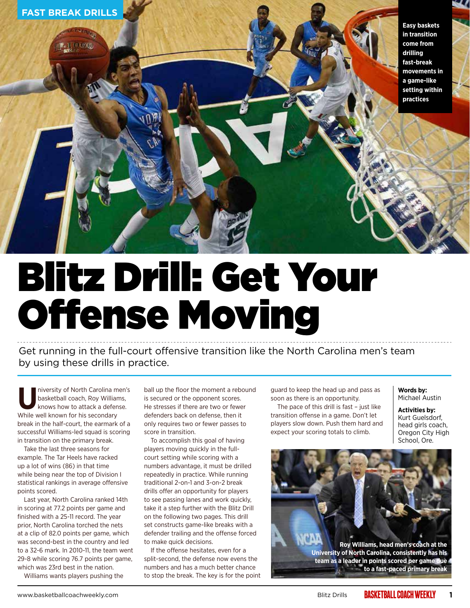

### Blitz Drill: Get Your Offense Moving

Get running in the full-court offensive transition like the North Carolina men's team by using these drills in practice.

**U**niversity of North Carolina men's basketball coach, Roy Williams, knows how to attack a defense. While well known for his secondary break in the half-court, the earmark of a successful Williams-led squad is scoring in transition on the primary break.

Take the last three seasons for example. The Tar Heels have racked up a lot of wins (86) in that time while being near the top of Division I statistical rankings in average offensive points scored.

Last year, North Carolina ranked 14th in scoring at 77.2 points per game and finished with a 25-11 record. The year prior, North Carolina torched the nets at a clip of 82.0 points per game, which was second-best in the country and led to a 32-6 mark. In 2010-11, the team went 29-8 while scoring 76.7 points per game, which was 23rd best in the nation.

Williams wants players pushing the

ball up the floor the moment a rebound is secured or the opponent scores. He stresses if there are two or fewer defenders back on defense, then it only requires two or fewer passes to score in transition.

To accomplish this goal of having players moving quickly in the fullcourt setting while scoring with a numbers advantage, it must be drilled repeatedly in practice. While running traditional 2-on-1 and 3-on-2 break drills offer an opportunity for players to see passing lanes and work quickly, take it a step further with the Blitz Drill on the following two pages. This drill set constructs game-like breaks with a defender trailing and the offense forced to make quick decisions.

If the offense hesitates, even for a split-second, the defense now evens the numbers and has a much better chance to stop the break. The key is for the point guard to keep the head up and pass as soon as there is an opportunity.

The pace of this drill is fast – just like transition offense in a game. Don't let players slow down. Push them hard and expect your scoring totals to climb.

#### **Words by:**  Michael Austin

**Activities by:**  Kurt Guelsdorf, head girls coach, Oregon City High School, Ore.

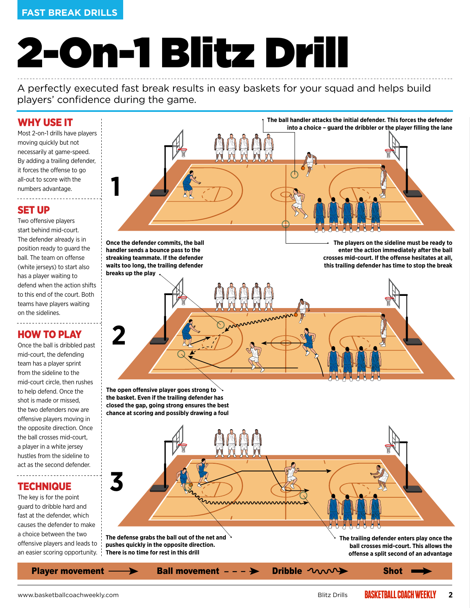#### **FAST BREAK DRILLS FAST BREAK DRILLS**

# 2-On-1 Blitz Drill

A perfectly executed fast break results in easy baskets for your squad and helps build players' confidence during the game.

#### WHY USE IT

Most 2-on-1 drills have players moving quickly but not necessarily at game-speed. By adding a trailing defender, it forces the offense to go all-out to score with the numbers advantage.

#### SET UP

Two offensive players start behind mid-court. The defender already is in position ready to guard the ball. The team on offense (white jerseys) to start also has a player waiting to defend when the action shifts to this end of the court. Both teams have players waiting on the sidelines.

#### HOW TO PLAY

. . . . . . . . . . . . . . . . . .

Once the ball is dribbled past mid-court, the defending team has a player sprint from the sideline to the mid-court circle, then rushes to help defend. Once the shot is made or missed, the two defenders now are offensive players moving in the opposite direction. Once the ball crosses mid-court, a player in a white jersey hustles from the sideline to act as the second defender.

#### **TECHNIQUE**

-------------------------

The key is for the point guard to dribble hard and fast at the defender, which causes the defender to make a choice between the two offensive players and leads to an easier scoring opportunity. **The ball handler attacks the initial defender. This forces the defender into a choice – guard the dribbler or the player filling the lane**

**Once the defender commits, the ball handler sends a bounce pass to the streaking teammate. If the defender waits too long, the trailing defender breaks up the play**

**1**

**2**

**The players on the sideline must be ready to enter the action immediately after the ball crosses mid-court. If the offense hesitates at all, this trailing defender has time to stop the break**

**The open offensive player goes strong to the basket. Even if the trailing defender has closed the gap, going strong ensures the best chance at scoring and possibly drawing a foul**

Player movement  $\longrightarrow$  Ball movement  $-\rightarrow$  Dribble  $\sim$ **The trailing defender enters play once the ball crosses mid-court. This allows the offense a split second of an advantage 3 The defense grabs the ball out of the net and pushes quickly in the opposite direction. There is no time for rest in this drill**